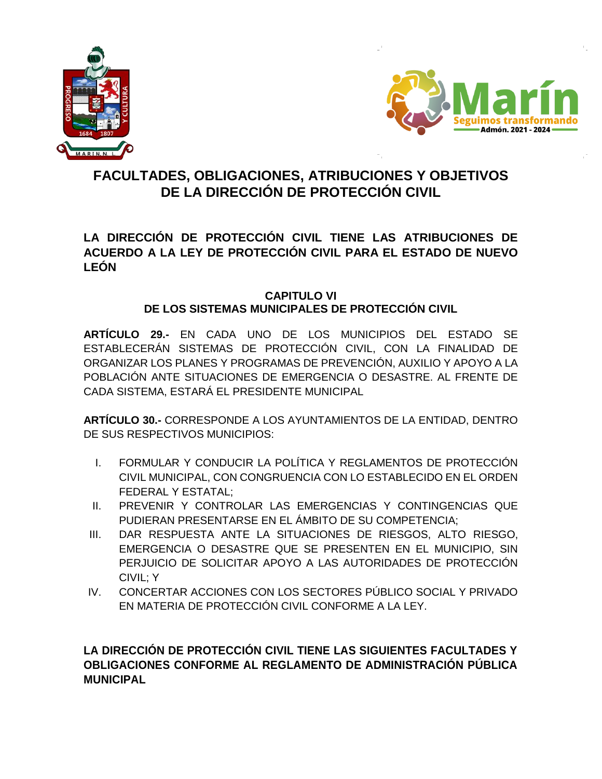



## **FACULTADES, OBLIGACIONES, ATRIBUCIONES Y OBJETIVOS DE LA DIRECCIÓN DE PROTECCIÓN CIVIL**

**LA DIRECCIÓN DE PROTECCIÓN CIVIL TIENE LAS ATRIBUCIONES DE ACUERDO A LA LEY DE PROTECCIÓN CIVIL PARA EL ESTADO DE NUEVO LEÓN** 

## **CAPITULO VI DE LOS SISTEMAS MUNICIPALES DE PROTECCIÓN CIVIL**

**ARTÍCULO 29.-** EN CADA UNO DE LOS MUNICIPIOS DEL ESTADO SE ESTABLECERÁN SISTEMAS DE PROTECCIÓN CIVIL, CON LA FINALIDAD DE ORGANIZAR LOS PLANES Y PROGRAMAS DE PREVENCIÓN, AUXILIO Y APOYO A LA POBLACIÓN ANTE SITUACIONES DE EMERGENCIA O DESASTRE. AL FRENTE DE CADA SISTEMA, ESTARÁ EL PRESIDENTE MUNICIPAL

**ARTÍCULO 30.-** CORRESPONDE A LOS AYUNTAMIENTOS DE LA ENTIDAD, DENTRO DE SUS RESPECTIVOS MUNICIPIOS:

- I. FORMULAR Y CONDUCIR LA POLÍTICA Y REGLAMENTOS DE PROTECCIÓN CIVIL MUNICIPAL, CON CONGRUENCIA CON LO ESTABLECIDO EN EL ORDEN FEDERAL Y ESTATAL;
- II. PREVENIR Y CONTROLAR LAS EMERGENCIAS Y CONTINGENCIAS QUE PUDIERAN PRESENTARSE EN EL ÁMBITO DE SU COMPETENCIA;
- III. DAR RESPUESTA ANTE LA SITUACIONES DE RIESGOS, ALTO RIESGO, EMERGENCIA O DESASTRE QUE SE PRESENTEN EN EL MUNICIPIO, SIN PERJUICIO DE SOLICITAR APOYO A LAS AUTORIDADES DE PROTECCIÓN CIVIL; Y
- IV. CONCERTAR ACCIONES CON LOS SECTORES PÚBLICO SOCIAL Y PRIVADO EN MATERIA DE PROTECCIÓN CIVIL CONFORME A LA LEY.

## **LA DIRECCIÓN DE PROTECCIÓN CIVIL TIENE LAS SIGUIENTES FACULTADES Y OBLIGACIONES CONFORME AL REGLAMENTO DE ADMINISTRACIÓN PÚBLICA MUNICIPAL**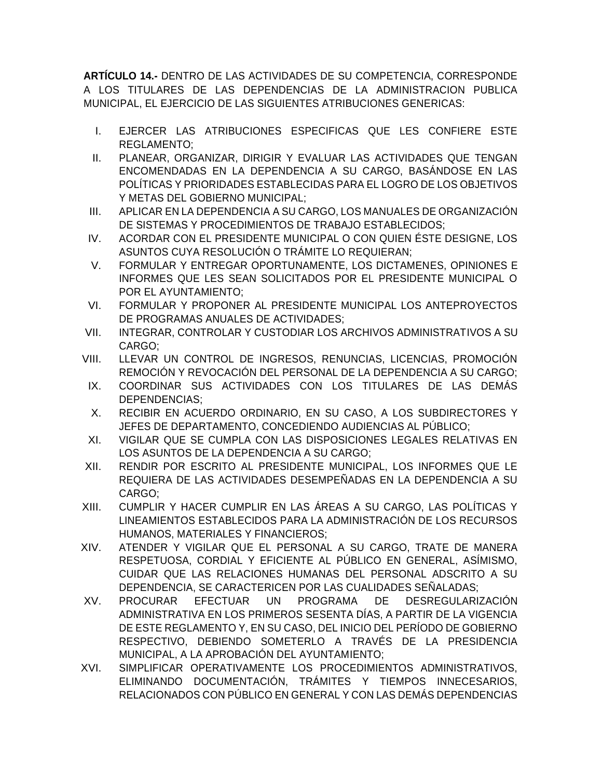**ARTÍCULO 14.-** DENTRO DE LAS ACTIVIDADES DE SU COMPETENCIA, CORRESPONDE A LOS TITULARES DE LAS DEPENDENCIAS DE LA ADMINISTRACION PUBLICA MUNICIPAL, EL EJERCICIO DE LAS SIGUIENTES ATRIBUCIONES GENERICAS:

- I. EJERCER LAS ATRIBUCIONES ESPECIFICAS QUE LES CONFIERE ESTE REGLAMENTO;
- II. PLANEAR, ORGANIZAR, DIRIGIR Y EVALUAR LAS ACTIVIDADES QUE TENGAN ENCOMENDADAS EN LA DEPENDENCIA A SU CARGO, BASÁNDOSE EN LAS POLÍTICAS Y PRIORIDADES ESTABLECIDAS PARA EL LOGRO DE LOS OBJETIVOS Y METAS DEL GOBIERNO MUNICIPAL;
- III. APLICAR EN LA DEPENDENCIA A SU CARGO, LOS MANUALES DE ORGANIZACIÓN DE SISTEMAS Y PROCEDIMIENTOS DE TRABAJO ESTABLECIDOS;
- IV. ACORDAR CON EL PRESIDENTE MUNICIPAL O CON QUIEN ÉSTE DESIGNE, LOS ASUNTOS CUYA RESOLUCIÓN O TRÁMITE LO REQUIERAN;
- V. FORMULAR Y ENTREGAR OPORTUNAMENTE, LOS DICTAMENES, OPINIONES E INFORMES QUE LES SEAN SOLICITADOS POR EL PRESIDENTE MUNICIPAL O POR EL AYUNTAMIENTO;
- VI. FORMULAR Y PROPONER AL PRESIDENTE MUNICIPAL LOS ANTEPROYECTOS DE PROGRAMAS ANUALES DE ACTIVIDADES;
- VII. INTEGRAR, CONTROLAR Y CUSTODIAR LOS ARCHIVOS ADMINISTRATIVOS A SU CARGO;
- VIII. LLEVAR UN CONTROL DE INGRESOS, RENUNCIAS, LICENCIAS, PROMOCIÓN REMOCIÓN Y REVOCACIÓN DEL PERSONAL DE LA DEPENDENCIA A SU CARGO;
- IX. COORDINAR SUS ACTIVIDADES CON LOS TITULARES DE LAS DEMÁS DEPENDENCIAS;
- X. RECIBIR EN ACUERDO ORDINARIO, EN SU CASO, A LOS SUBDIRECTORES Y JEFES DE DEPARTAMENTO, CONCEDIENDO AUDIENCIAS AL PÚBLICO;
- XI. VIGILAR QUE SE CUMPLA CON LAS DISPOSICIONES LEGALES RELATIVAS EN LOS ASUNTOS DE LA DEPENDENCIA A SU CARGO;
- XII. RENDIR POR ESCRITO AL PRESIDENTE MUNICIPAL, LOS INFORMES QUE LE REQUIERA DE LAS ACTIVIDADES DESEMPEÑADAS EN LA DEPENDENCIA A SU CARGO;
- XIII. CUMPLIR Y HACER CUMPLIR EN LAS ÁREAS A SU CARGO, LAS POLÍTICAS Y LINEAMIENTOS ESTABLECIDOS PARA LA ADMINISTRACIÓN DE LOS RECURSOS HUMANOS, MATERIALES Y FINANCIEROS;
- XIV. ATENDER Y VIGILAR QUE EL PERSONAL A SU CARGO, TRATE DE MANERA RESPETUOSA, CORDIAL Y EFICIENTE AL PÚBLICO EN GENERAL, ASÍMISMO, CUIDAR QUE LAS RELACIONES HUMANAS DEL PERSONAL ADSCRITO A SU DEPENDENCIA, SE CARACTERICEN POR LAS CUALIDADES SEÑALADAS;
- XV. PROCURAR EFECTUAR UN PROGRAMA DE DESREGULARIZACIÓN ADMINISTRATIVA EN LOS PRIMEROS SESENTA DÍAS, A PARTIR DE LA VIGENCIA DE ESTE REGLAMENTO Y, EN SU CASO, DEL INICIO DEL PERÍODO DE GOBIERNO RESPECTIVO, DEBIENDO SOMETERLO A TRAVÉS DE LA PRESIDENCIA MUNICIPAL, A LA APROBACIÓN DEL AYUNTAMIENTO;
- XVI. SIMPLIFICAR OPERATIVAMENTE LOS PROCEDIMIENTOS ADMINISTRATIVOS, ELIMINANDO DOCUMENTACIÓN, TRÁMITES Y TIEMPOS INNECESARIOS, RELACIONADOS CON PÚBLICO EN GENERAL Y CON LAS DEMÁS DEPENDENCIAS